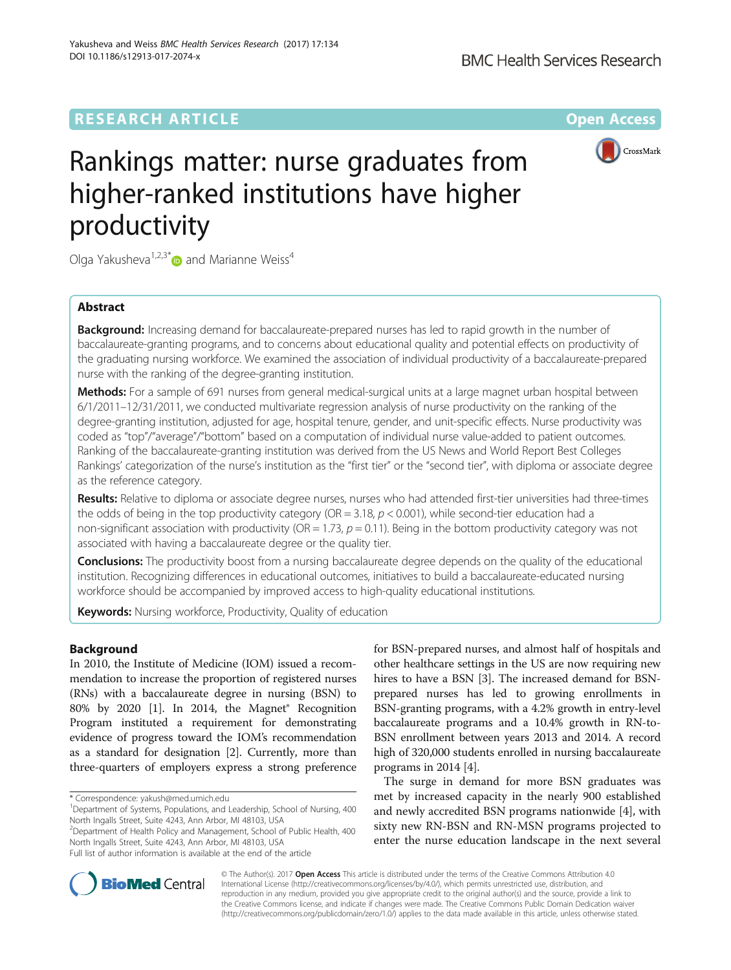## **RESEARCH ARTICLE External Structure Community Community Community Community Community Community Community Community**



# Rankings matter: nurse graduates from higher-ranked institutions have higher productivity

Olga Yakusheva<sup>1,2,3\*</sup> $\bullet$  and Marianne Weiss<sup>4</sup>

## Abstract

**Background:** Increasing demand for baccalaureate-prepared nurses has led to rapid growth in the number of baccalaureate-granting programs, and to concerns about educational quality and potential effects on productivity of the graduating nursing workforce. We examined the association of individual productivity of a baccalaureate-prepared nurse with the ranking of the degree-granting institution.

Methods: For a sample of 691 nurses from general medical-surgical units at a large magnet urban hospital between 6/1/2011–12/31/2011, we conducted multivariate regression analysis of nurse productivity on the ranking of the degree-granting institution, adjusted for age, hospital tenure, gender, and unit-specific effects. Nurse productivity was coded as "top"/"average"/"bottom" based on a computation of individual nurse value-added to patient outcomes. Ranking of the baccalaureate-granting institution was derived from the US News and World Report Best Colleges Rankings' categorization of the nurse's institution as the "first tier" or the "second tier", with diploma or associate degree as the reference category.

Results: Relative to diploma or associate degree nurses, nurses who had attended first-tier universities had three-times the odds of being in the top productivity category (OR = 3.18,  $p < 0.001$ ), while second-tier education had a non-significant association with productivity (OR = 1.73,  $p = 0.11$ ). Being in the bottom productivity category was not associated with having a baccalaureate degree or the quality tier.

**Conclusions:** The productivity boost from a nursing baccalaureate degree depends on the quality of the educational institution. Recognizing differences in educational outcomes, initiatives to build a baccalaureate-educated nursing workforce should be accompanied by improved access to high-quality educational institutions.

Keywords: Nursing workforce, Productivity, Quality of education

## Background

In 2010, the Institute of Medicine (IOM) issued a recommendation to increase the proportion of registered nurses (RNs) with a baccalaureate degree in nursing (BSN) to 80% by 2020 [\[1](#page-6-0)]. In 2014, the Magnet® Recognition Program instituted a requirement for demonstrating evidence of progress toward the IOM's recommendation as a standard for designation [\[2](#page-6-0)]. Currently, more than three-quarters of employers express a strong preference

Full list of author information is available at the end of the article

for BSN-prepared nurses, and almost half of hospitals and other healthcare settings in the US are now requiring new hires to have a BSN [[3\]](#page-6-0). The increased demand for BSNprepared nurses has led to growing enrollments in BSN-granting programs, with a 4.2% growth in entry-level baccalaureate programs and a 10.4% growth in RN-to-BSN enrollment between years 2013 and 2014. A record high of 320,000 students enrolled in nursing baccalaureate programs in 2014 [[4\]](#page-6-0).

The surge in demand for more BSN graduates was met by increased capacity in the nearly 900 established and newly accredited BSN programs nationwide [[4\]](#page-6-0), with sixty new RN-BSN and RN-MSN programs projected to enter the nurse education landscape in the next several



© The Author(s). 2017 **Open Access** This article is distributed under the terms of the Creative Commons Attribution 4.0 International License [\(http://creativecommons.org/licenses/by/4.0/](http://creativecommons.org/licenses/by/4.0/)), which permits unrestricted use, distribution, and reproduction in any medium, provided you give appropriate credit to the original author(s) and the source, provide a link to the Creative Commons license, and indicate if changes were made. The Creative Commons Public Domain Dedication waiver [\(http://creativecommons.org/publicdomain/zero/1.0/](http://creativecommons.org/publicdomain/zero/1.0/)) applies to the data made available in this article, unless otherwise stated.

<sup>\*</sup> Correspondence: [yakush@med.umich.edu](mailto:yakush@med.umich.edu) <sup>1</sup>

<sup>&</sup>lt;sup>1</sup>Department of Systems, Populations, and Leadership, School of Nursing, 400 North Ingalls Street, Suite 4243, Ann Arbor, MI 48103, USA

<sup>&</sup>lt;sup>2</sup>Department of Health Policy and Management, School of Public Health, 400 North Ingalls Street, Suite 4243, Ann Arbor, MI 48103, USA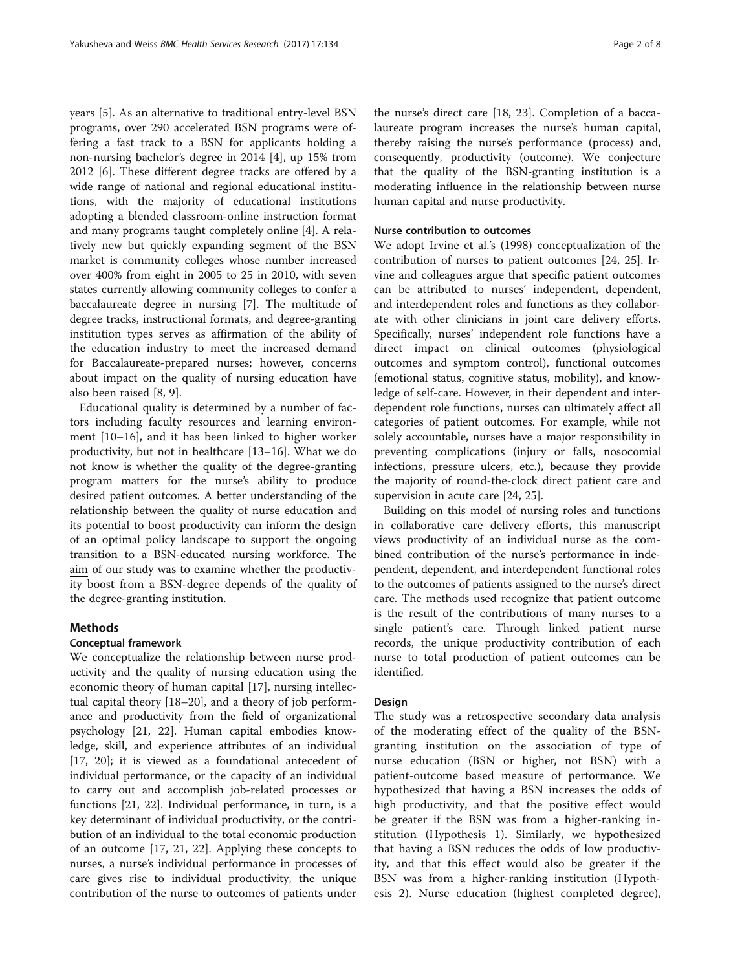years [[5](#page-6-0)]. As an alternative to traditional entry-level BSN programs, over 290 accelerated BSN programs were offering a fast track to a BSN for applicants holding a non-nursing bachelor's degree in 2014 [[4\]](#page-6-0), up 15% from 2012 [\[6](#page-6-0)]. These different degree tracks are offered by a wide range of national and regional educational institutions, with the majority of educational institutions adopting a blended classroom-online instruction format and many programs taught completely online [\[4\]](#page-6-0). A relatively new but quickly expanding segment of the BSN market is community colleges whose number increased over 400% from eight in 2005 to 25 in 2010, with seven states currently allowing community colleges to confer a baccalaureate degree in nursing [[7\]](#page-6-0). The multitude of degree tracks, instructional formats, and degree-granting institution types serves as affirmation of the ability of the education industry to meet the increased demand for Baccalaureate-prepared nurses; however, concerns about impact on the quality of nursing education have also been raised [[8, 9\]](#page-6-0).

Educational quality is determined by a number of factors including faculty resources and learning environment [\[10](#page-6-0)–[16\]](#page-6-0), and it has been linked to higher worker productivity, but not in healthcare [\[13](#page-6-0)–[16\]](#page-6-0). What we do not know is whether the quality of the degree-granting program matters for the nurse's ability to produce desired patient outcomes. A better understanding of the relationship between the quality of nurse education and its potential to boost productivity can inform the design of an optimal policy landscape to support the ongoing transition to a BSN-educated nursing workforce. The aim of our study was to examine whether the productivity boost from a BSN-degree depends of the quality of the degree-granting institution.

## **Methods**

## Conceptual framework

We conceptualize the relationship between nurse productivity and the quality of nursing education using the economic theory of human capital [\[17\]](#page-6-0), nursing intellectual capital theory [[18](#page-6-0)–[20](#page-6-0)], and a theory of job performance and productivity from the field of organizational psychology [[21, 22\]](#page-6-0). Human capital embodies knowledge, skill, and experience attributes of an individual [[17, 20\]](#page-6-0); it is viewed as a foundational antecedent of individual performance, or the capacity of an individual to carry out and accomplish job-related processes or functions [[21, 22\]](#page-6-0). Individual performance, in turn, is a key determinant of individual productivity, or the contribution of an individual to the total economic production of an outcome [\[17](#page-6-0), [21, 22\]](#page-6-0). Applying these concepts to nurses, a nurse's individual performance in processes of care gives rise to individual productivity, the unique contribution of the nurse to outcomes of patients under

the nurse's direct care [[18](#page-6-0), [23](#page-6-0)]. Completion of a baccalaureate program increases the nurse's human capital, thereby raising the nurse's performance (process) and, consequently, productivity (outcome). We conjecture that the quality of the BSN-granting institution is a moderating influence in the relationship between nurse human capital and nurse productivity.

## Nurse contribution to outcomes

We adopt Irvine et al.'s (1998) conceptualization of the contribution of nurses to patient outcomes [\[24](#page-6-0), [25\]](#page-6-0). Irvine and colleagues argue that specific patient outcomes can be attributed to nurses' independent, dependent, and interdependent roles and functions as they collaborate with other clinicians in joint care delivery efforts. Specifically, nurses' independent role functions have a direct impact on clinical outcomes (physiological outcomes and symptom control), functional outcomes (emotional status, cognitive status, mobility), and knowledge of self-care. However, in their dependent and interdependent role functions, nurses can ultimately affect all categories of patient outcomes. For example, while not solely accountable, nurses have a major responsibility in preventing complications (injury or falls, nosocomial infections, pressure ulcers, etc.), because they provide the majority of round-the-clock direct patient care and supervision in acute care [[24, 25\]](#page-6-0).

Building on this model of nursing roles and functions in collaborative care delivery efforts, this manuscript views productivity of an individual nurse as the combined contribution of the nurse's performance in independent, dependent, and interdependent functional roles to the outcomes of patients assigned to the nurse's direct care. The methods used recognize that patient outcome is the result of the contributions of many nurses to a single patient's care. Through linked patient nurse records, the unique productivity contribution of each nurse to total production of patient outcomes can be identified.

## Design

The study was a retrospective secondary data analysis of the moderating effect of the quality of the BSNgranting institution on the association of type of nurse education (BSN or higher, not BSN) with a patient-outcome based measure of performance. We hypothesized that having a BSN increases the odds of high productivity, and that the positive effect would be greater if the BSN was from a higher-ranking institution (Hypothesis 1). Similarly, we hypothesized that having a BSN reduces the odds of low productivity, and that this effect would also be greater if the BSN was from a higher-ranking institution (Hypothesis 2). Nurse education (highest completed degree),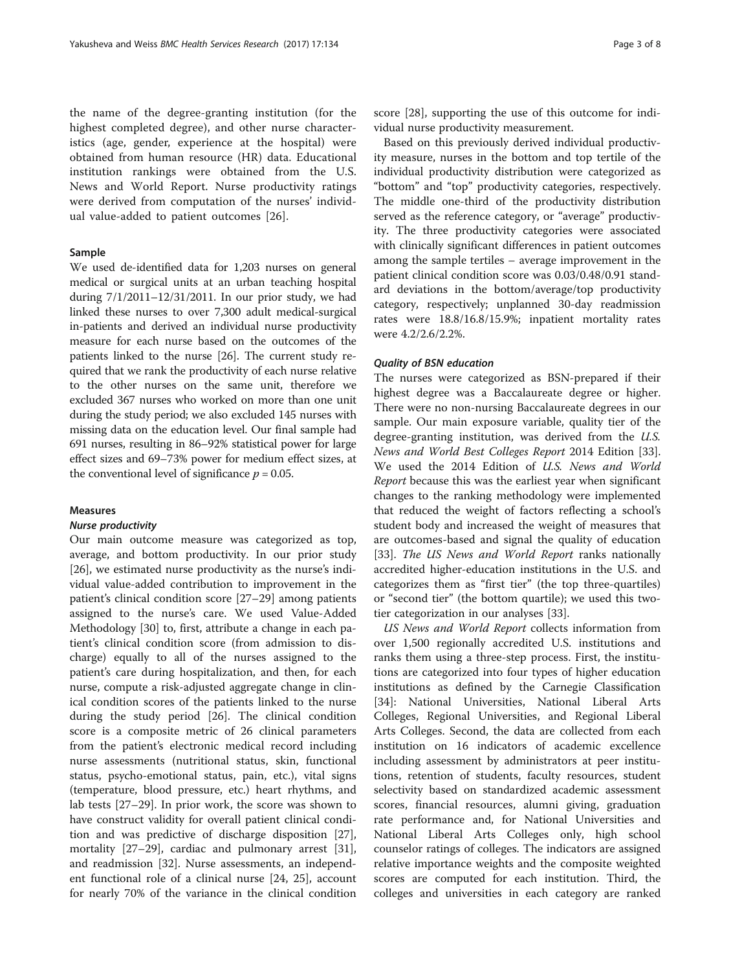the name of the degree-granting institution (for the highest completed degree), and other nurse characteristics (age, gender, experience at the hospital) were obtained from human resource (HR) data. Educational institution rankings were obtained from the U.S. News and World Report. Nurse productivity ratings were derived from computation of the nurses' individual value-added to patient outcomes [[26\]](#page-6-0).

## Sample

We used de-identified data for 1,203 nurses on general medical or surgical units at an urban teaching hospital during 7/1/2011–12/31/2011. In our prior study, we had linked these nurses to over 7,300 adult medical-surgical in-patients and derived an individual nurse productivity measure for each nurse based on the outcomes of the patients linked to the nurse [\[26\]](#page-6-0). The current study required that we rank the productivity of each nurse relative to the other nurses on the same unit, therefore we excluded 367 nurses who worked on more than one unit during the study period; we also excluded 145 nurses with missing data on the education level. Our final sample had 691 nurses, resulting in 86–92% statistical power for large effect sizes and 69–73% power for medium effect sizes, at the conventional level of significance  $p = 0.05$ .

## Measures

## Nurse productivity

Our main outcome measure was categorized as top, average, and bottom productivity. In our prior study [[26\]](#page-6-0), we estimated nurse productivity as the nurse's individual value-added contribution to improvement in the patient's clinical condition score [\[27](#page-6-0)–[29\]](#page-6-0) among patients assigned to the nurse's care. We used Value-Added Methodology [\[30\]](#page-6-0) to, first, attribute a change in each patient's clinical condition score (from admission to discharge) equally to all of the nurses assigned to the patient's care during hospitalization, and then, for each nurse, compute a risk-adjusted aggregate change in clinical condition scores of the patients linked to the nurse during the study period [[26](#page-6-0)]. The clinical condition score is a composite metric of 26 clinical parameters from the patient's electronic medical record including nurse assessments (nutritional status, skin, functional status, psycho-emotional status, pain, etc.), vital signs (temperature, blood pressure, etc.) heart rhythms, and lab tests [[27](#page-6-0)–[29\]](#page-6-0). In prior work, the score was shown to have construct validity for overall patient clinical condition and was predictive of discharge disposition [\[27](#page-6-0)], mortality [[27](#page-6-0)–[29](#page-6-0)], cardiac and pulmonary arrest [\[31](#page-6-0)], and readmission [\[32\]](#page-6-0). Nurse assessments, an independent functional role of a clinical nurse [[24, 25\]](#page-6-0), account for nearly 70% of the variance in the clinical condition score [\[28\]](#page-6-0), supporting the use of this outcome for individual nurse productivity measurement.

Based on this previously derived individual productivity measure, nurses in the bottom and top tertile of the individual productivity distribution were categorized as "bottom" and "top" productivity categories, respectively. The middle one-third of the productivity distribution served as the reference category, or "average" productivity. The three productivity categories were associated with clinically significant differences in patient outcomes among the sample tertiles – average improvement in the patient clinical condition score was 0.03/0.48/0.91 standard deviations in the bottom/average/top productivity category, respectively; unplanned 30-day readmission rates were 18.8/16.8/15.9%; inpatient mortality rates were 4.2/2.6/2.2%.

## Quality of BSN education

The nurses were categorized as BSN-prepared if their highest degree was a Baccalaureate degree or higher. There were no non-nursing Baccalaureate degrees in our sample. Our main exposure variable, quality tier of the degree-granting institution, was derived from the U.S. News and World Best Colleges Report 2014 Edition [\[33](#page-6-0)]. We used the 2014 Edition of U.S. News and World Report because this was the earliest year when significant changes to the ranking methodology were implemented that reduced the weight of factors reflecting a school's student body and increased the weight of measures that are outcomes-based and signal the quality of education [[33\]](#page-6-0). The US News and World Report ranks nationally accredited higher-education institutions in the U.S. and categorizes them as "first tier" (the top three-quartiles) or "second tier" (the bottom quartile); we used this twotier categorization in our analyses [\[33\]](#page-6-0).

US News and World Report collects information from over 1,500 regionally accredited U.S. institutions and ranks them using a three-step process. First, the institutions are categorized into four types of higher education institutions as defined by the Carnegie Classification [[34\]](#page-6-0): National Universities, National Liberal Arts Colleges, Regional Universities, and Regional Liberal Arts Colleges. Second, the data are collected from each institution on 16 indicators of academic excellence including assessment by administrators at peer institutions, retention of students, faculty resources, student selectivity based on standardized academic assessment scores, financial resources, alumni giving, graduation rate performance and, for National Universities and National Liberal Arts Colleges only, high school counselor ratings of colleges. The indicators are assigned relative importance weights and the composite weighted scores are computed for each institution. Third, the colleges and universities in each category are ranked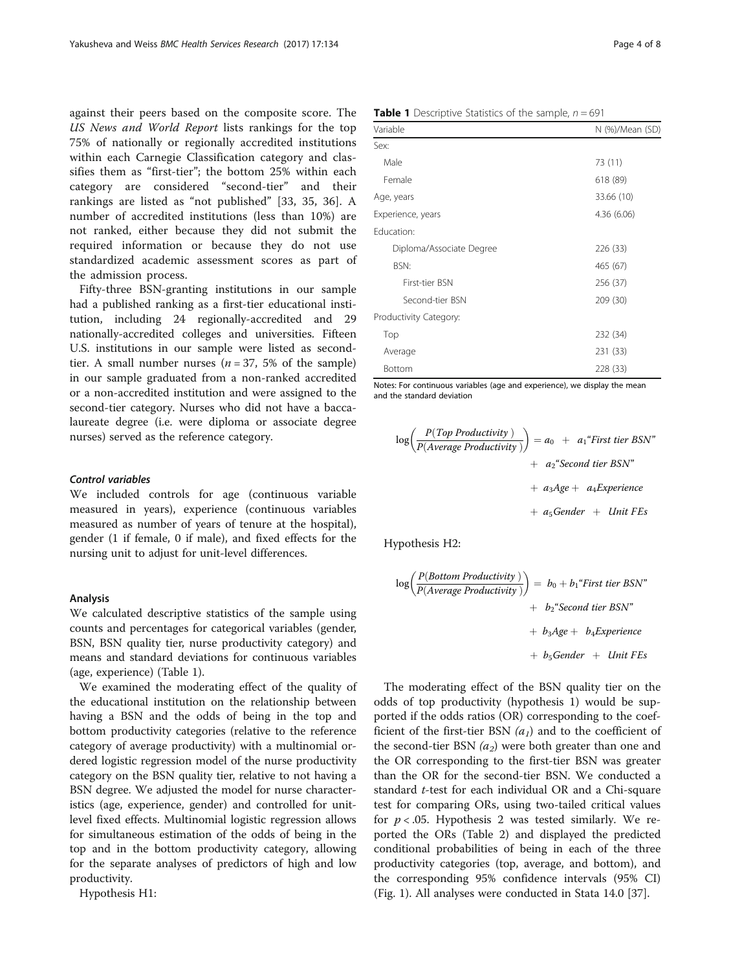<span id="page-3-0"></span>against their peers based on the composite score. The US News and World Report lists rankings for the top 75% of nationally or regionally accredited institutions within each Carnegie Classification category and classifies them as "first-tier"; the bottom 25% within each category are considered "second-tier" and their rankings are listed as "not published" [\[33](#page-6-0), [35](#page-6-0), [36](#page-6-0)]. A number of accredited institutions (less than 10%) are not ranked, either because they did not submit the required information or because they do not use standardized academic assessment scores as part of the admission process.

Fifty-three BSN-granting institutions in our sample had a published ranking as a first-tier educational institution, including 24 regionally-accredited and 29 nationally-accredited colleges and universities. Fifteen U.S. institutions in our sample were listed as secondtier. A small number nurses ( $n = 37$ , 5% of the sample) in our sample graduated from a non-ranked accredited or a non-accredited institution and were assigned to the second-tier category. Nurses who did not have a baccalaureate degree (i.e. were diploma or associate degree nurses) served as the reference category.

## Control variables

We included controls for age (continuous variable measured in years), experience (continuous variables measured as number of years of tenure at the hospital), gender (1 if female, 0 if male), and fixed effects for the nursing unit to adjust for unit-level differences.

## Analysis

We calculated descriptive statistics of the sample using counts and percentages for categorical variables (gender, BSN, BSN quality tier, nurse productivity category) and means and standard deviations for continuous variables (age, experience) (Table 1).

We examined the moderating effect of the quality of the educational institution on the relationship between having a BSN and the odds of being in the top and bottom productivity categories (relative to the reference category of average productivity) with a multinomial ordered logistic regression model of the nurse productivity category on the BSN quality tier, relative to not having a BSN degree. We adjusted the model for nurse characteristics (age, experience, gender) and controlled for unitlevel fixed effects. Multinomial logistic regression allows for simultaneous estimation of the odds of being in the top and in the bottom productivity category, allowing for the separate analyses of predictors of high and low productivity.

Hypothesis H1:

| <b>Table 1</b> Descriptive Statistics of the sample, $n = 691$ |  |  |
|----------------------------------------------------------------|--|--|

| Variable                 | N (%)/Mean (SD) |  |
|--------------------------|-----------------|--|
| Sex:                     |                 |  |
| Male                     | 73 (11)         |  |
| Female                   | 618 (89)        |  |
| Age, years               | 33.66 (10)      |  |
| Experience, years        | 4.36 (6.06)     |  |
| Education:               |                 |  |
| Diploma/Associate Degree | 226 (33)        |  |
| <b>BSN:</b>              | 465 (67)        |  |
| First-tier BSN           | 256 (37)        |  |
| Second-tier BSN          | 209 (30)        |  |
| Productivity Category:   |                 |  |
| Top                      | 232 (34)        |  |
| Average                  | 231 (33)        |  |
| Bottom                   | 228 (33)        |  |
|                          |                 |  |

Notes: For continuous variables (age and experience), we display the mean and the standard deviation

$$
\log \left( \frac{P(Top Productivity)}{P(Average Productivity)} \right) = a_0 + a_1"First tier BSN"+ a_2"Second tier BSN"+ a_3Age + a_4Experience+ a_5Gender + Unit FEs
$$

Hypothesis H2:

$$
\log \left( \frac{P(Bottom \text{ Productivity})}{P(Average \text{ Productivity})} \right) = b_0 + b_1 \text{ "First tier BSN"}
$$
  
+ b<sub>2</sub> "Second tier BSN"   
+ b<sub>3</sub>Age + b<sub>4</sub> Experience   
+ b<sub>5</sub>Generator + Unit FEs

The moderating effect of the BSN quality tier on the odds of top productivity (hypothesis 1) would be supported if the odds ratios (OR) corresponding to the coefficient of the first-tier BSN  $(a<sub>1</sub>)$  and to the coefficient of the second-tier BSN  $(a_2)$  were both greater than one and the OR corresponding to the first-tier BSN was greater than the OR for the second-tier BSN. We conducted a standard t-test for each individual OR and a Chi-square test for comparing ORs, using two-tailed critical values for  $p < .05$ . Hypothesis 2 was tested similarly. We reported the ORs (Table [2\)](#page-4-0) and displayed the predicted conditional probabilities of being in each of the three productivity categories (top, average, and bottom), and the corresponding 95% confidence intervals (95% CI) (Fig. [1](#page-4-0)). All analyses were conducted in Stata 14.0 [[37](#page-7-0)].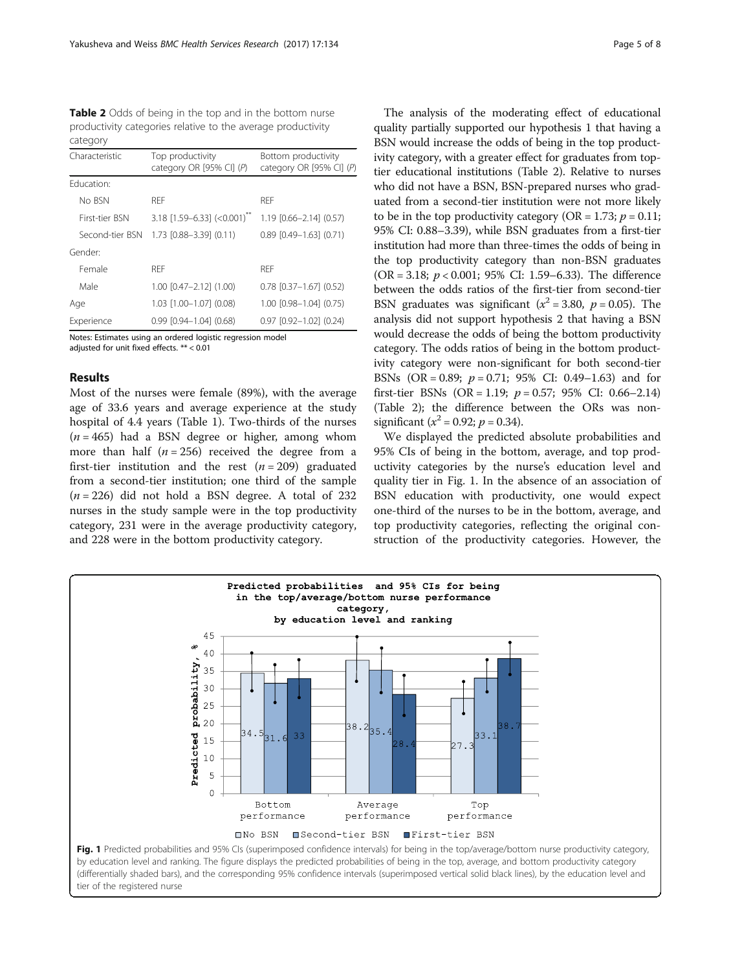<span id="page-4-0"></span>Table 2 Odds of being in the top and in the bottom nurse productivity categories relative to the average productivity category

| Characteristic  | Top productivity<br>category OR [95% CI] (P) | Bottom productivity<br>category OR [95% CI] (P) |  |
|-----------------|----------------------------------------------|-------------------------------------------------|--|
| Fducation:      |                                              |                                                 |  |
| No BSN          | <b>RFF</b>                                   | <b>RFF</b>                                      |  |
| First-tier BSN  | $3.18$ [1.59-6.33] $(<0.001)$ <sup>**</sup>  | $1.19$ $[0.66 - 2.14]$ $(0.57)$                 |  |
| Second-tier BSN | $1.73$ $[0.88 - 3.39]$ $(0.11)$              | $0.89$ $[0.49 - 1.63]$ $(0.71)$                 |  |
| Gender:         |                                              |                                                 |  |
| Female          | <b>RFF</b>                                   | RFF                                             |  |
| Male            | $1.00$ $[0.47 - 2.12]$ $(1.00)$              | $0.78$ $[0.37 - 1.67]$ $(0.52)$                 |  |
| Age             | 1.03 [1.00-1.07] (0.08)                      | 1.00 [0.98-1.04] (0.75)                         |  |
| Experience      | $0.99$ $[0.94 - 1.04]$ $(0.68)$              | $0.97$ $[0.92 - 1.02]$ $(0.24)$                 |  |

Notes: Estimates using an ordered logistic regression model

adjusted for unit fixed effects. \*\* < 0.01

## Results

Most of the nurses were female (89%), with the average age of 33.6 years and average experience at the study hospital of 4.4 years (Table [1\)](#page-3-0). Two-thirds of the nurses  $(n = 465)$  had a BSN degree or higher, among whom more than half  $(n = 256)$  received the degree from a first-tier institution and the rest  $(n = 209)$  graduated from a second-tier institution; one third of the sample  $(n = 226)$  did not hold a BSN degree. A total of 232 nurses in the study sample were in the top productivity category, 231 were in the average productivity category, and 228 were in the bottom productivity category.

The analysis of the moderating effect of educational quality partially supported our hypothesis 1 that having a BSN would increase the odds of being in the top productivity category, with a greater effect for graduates from toptier educational institutions (Table 2). Relative to nurses who did not have a BSN, BSN-prepared nurses who graduated from a second-tier institution were not more likely to be in the top productivity category (OR = 1.73;  $p = 0.11$ ; 95% CI: 0.88–3.39), while BSN graduates from a first-tier institution had more than three-times the odds of being in the top productivity category than non-BSN graduates (OR = 3.18; p < 0.001; 95% CI: 1.59–6.33). The difference between the odds ratios of the first-tier from second-tier BSN graduates was significant ( $x^2 = 3.80$ ,  $p = 0.05$ ). The analysis did not support hypothesis 2 that having a BSN would decrease the odds of being the bottom productivity category. The odds ratios of being in the bottom productivity category were non-significant for both second-tier BSNs (OR = 0.89;  $p = 0.71$ ; 95% CI: 0.49–1.63) and for first-tier BSNs (OR = 1.19;  $p = 0.57$ ; 95% CI: 0.66–2.14) (Table 2); the difference between the ORs was nonsignificant ( $x^2 = 0.92$ ;  $p = 0.34$ ).

We displayed the predicted absolute probabilities and 95% CIs of being in the bottom, average, and top productivity categories by the nurse's education level and quality tier in Fig. 1. In the absence of an association of BSN education with productivity, one would expect one-third of the nurses to be in the bottom, average, and top productivity categories, reflecting the original construction of the productivity categories. However, the

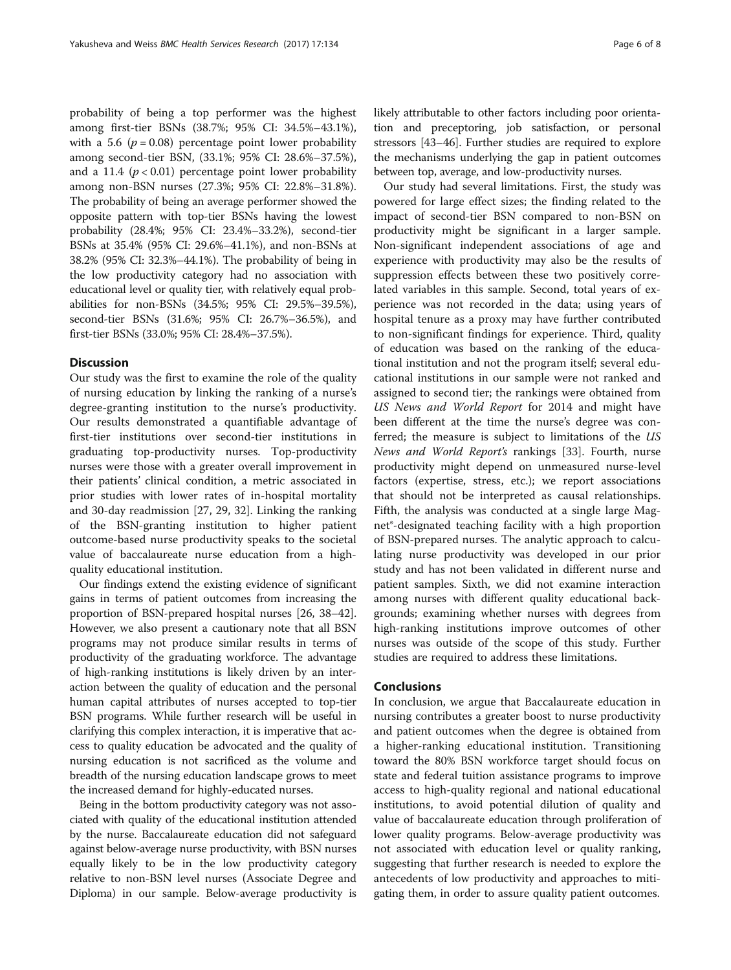probability of being a top performer was the highest among first-tier BSNs (38.7%; 95% CI: 34.5%–43.1%), with a 5.6 ( $p = 0.08$ ) percentage point lower probability among second-tier BSN, (33.1%; 95% CI: 28.6%–37.5%), and a 11.4  $(p < 0.01)$  percentage point lower probability among non-BSN nurses (27.3%; 95% CI: 22.8%–31.8%). The probability of being an average performer showed the opposite pattern with top-tier BSNs having the lowest probability (28.4%; 95% CI: 23.4%–33.2%), second-tier BSNs at 35.4% (95% CI: 29.6%–41.1%), and non-BSNs at 38.2% (95% CI: 32.3%–44.1%). The probability of being in the low productivity category had no association with educational level or quality tier, with relatively equal probabilities for non-BSNs (34.5%; 95% CI: 29.5%–39.5%), second-tier BSNs (31.6%; 95% CI: 26.7%–36.5%), and first-tier BSNs (33.0%; 95% CI: 28.4%–37.5%).

## **Discussion**

Our study was the first to examine the role of the quality of nursing education by linking the ranking of a nurse's degree-granting institution to the nurse's productivity. Our results demonstrated a quantifiable advantage of first-tier institutions over second-tier institutions in graduating top-productivity nurses. Top-productivity nurses were those with a greater overall improvement in their patients' clinical condition, a metric associated in prior studies with lower rates of in-hospital mortality and 30-day readmission [[27, 29, 32\]](#page-6-0). Linking the ranking of the BSN-granting institution to higher patient outcome-based nurse productivity speaks to the societal value of baccalaureate nurse education from a highquality educational institution.

Our findings extend the existing evidence of significant gains in terms of patient outcomes from increasing the proportion of BSN-prepared hospital nurses [[26](#page-6-0), [38](#page-7-0)–[42](#page-7-0)]. However, we also present a cautionary note that all BSN programs may not produce similar results in terms of productivity of the graduating workforce. The advantage of high-ranking institutions is likely driven by an interaction between the quality of education and the personal human capital attributes of nurses accepted to top-tier BSN programs. While further research will be useful in clarifying this complex interaction, it is imperative that access to quality education be advocated and the quality of nursing education is not sacrificed as the volume and breadth of the nursing education landscape grows to meet the increased demand for highly-educated nurses.

Being in the bottom productivity category was not associated with quality of the educational institution attended by the nurse. Baccalaureate education did not safeguard against below-average nurse productivity, with BSN nurses equally likely to be in the low productivity category relative to non-BSN level nurses (Associate Degree and Diploma) in our sample. Below-average productivity is likely attributable to other factors including poor orientation and preceptoring, job satisfaction, or personal stressors [[43](#page-7-0)–[46\]](#page-7-0). Further studies are required to explore the mechanisms underlying the gap in patient outcomes between top, average, and low-productivity nurses.

Our study had several limitations. First, the study was powered for large effect sizes; the finding related to the impact of second-tier BSN compared to non-BSN on productivity might be significant in a larger sample. Non-significant independent associations of age and experience with productivity may also be the results of suppression effects between these two positively correlated variables in this sample. Second, total years of experience was not recorded in the data; using years of hospital tenure as a proxy may have further contributed to non-significant findings for experience. Third, quality of education was based on the ranking of the educational institution and not the program itself; several educational institutions in our sample were not ranked and assigned to second tier; the rankings were obtained from US News and World Report for 2014 and might have been different at the time the nurse's degree was conferred; the measure is subject to limitations of the US News and World Report's rankings [\[33](#page-6-0)]. Fourth, nurse productivity might depend on unmeasured nurse-level factors (expertise, stress, etc.); we report associations that should not be interpreted as causal relationships. Fifth, the analysis was conducted at a single large Magnet®-designated teaching facility with a high proportion of BSN-prepared nurses. The analytic approach to calculating nurse productivity was developed in our prior study and has not been validated in different nurse and patient samples. Sixth, we did not examine interaction among nurses with different quality educational backgrounds; examining whether nurses with degrees from high-ranking institutions improve outcomes of other nurses was outside of the scope of this study. Further studies are required to address these limitations.

## Conclusions

In conclusion, we argue that Baccalaureate education in nursing contributes a greater boost to nurse productivity and patient outcomes when the degree is obtained from a higher-ranking educational institution. Transitioning toward the 80% BSN workforce target should focus on state and federal tuition assistance programs to improve access to high-quality regional and national educational institutions, to avoid potential dilution of quality and value of baccalaureate education through proliferation of lower quality programs. Below-average productivity was not associated with education level or quality ranking, suggesting that further research is needed to explore the antecedents of low productivity and approaches to mitigating them, in order to assure quality patient outcomes.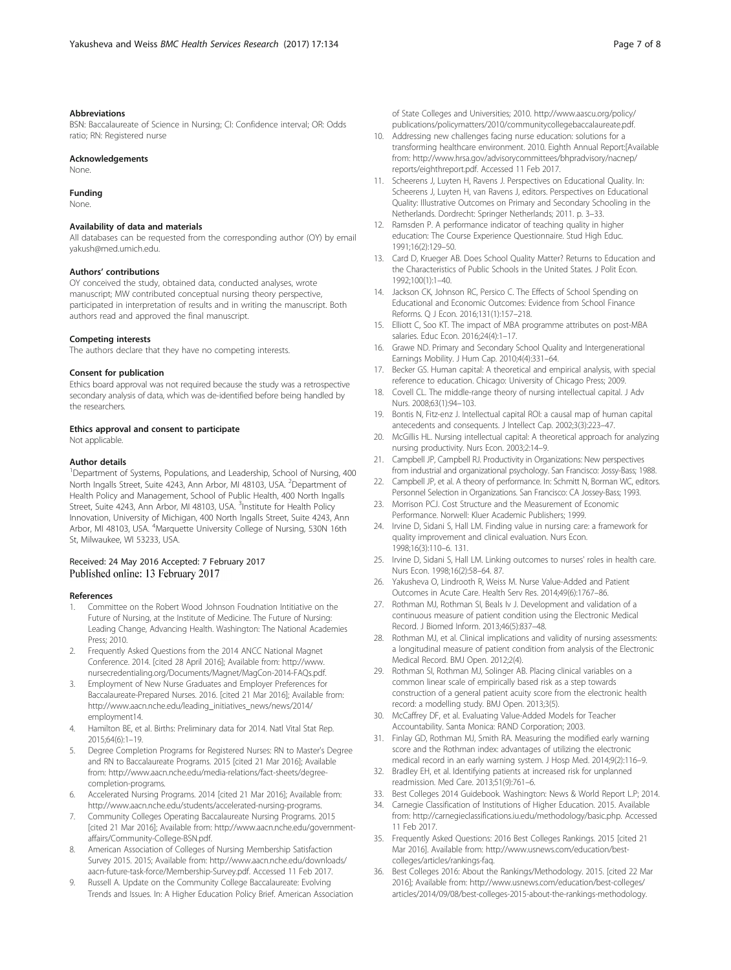## <span id="page-6-0"></span>Abbreviations

BSN: Baccalaureate of Science in Nursing; CI: Confidence interval; OR: Odds ratio; RN: Registered nurse

#### Acknowledgements

None.

#### Funding

None.

#### Availability of data and materials

All databases can be requested from the corresponding author (OY) by email yakush@med.umich.edu.

#### Authors' contributions

OY conceived the study, obtained data, conducted analyses, wrote manuscript; MW contributed conceptual nursing theory perspective, participated in interpretation of results and in writing the manuscript. Both authors read and approved the final manuscript.

## Competing interests

The authors declare that they have no competing interests.

## Consent for publication

Ethics board approval was not required because the study was a retrospective secondary analysis of data, which was de-identified before being handled by the researchers.

## Ethics approval and consent to participate

Not applicable.

#### Author details

<sup>1</sup>Department of Systems, Populations, and Leadership, School of Nursing, 400 North Ingalls Street, Suite 4243, Ann Arbor, MI 48103, USA. <sup>2</sup>Department of Health Policy and Management, School of Public Health, 400 North Ingalls Street, Suite 4243, Ann Arbor, MI 48103, USA. <sup>3</sup>Institute for Health Policy Innovation, University of Michigan, 400 North Ingalls Street, Suite 4243, Ann Arbor, MI 48103, USA. <sup>4</sup>Marquette University College of Nursing, 530N 16th St, Milwaukee, WI 53233, USA.

## Received: 24 May 2016 Accepted: 7 February 2017 Published online: 13 February 2017

#### References

- 1. Committee on the Robert Wood Johnson Foudnation Intitiative on the Future of Nursing, at the Institute of Medicine. The Future of Nursing: Leading Change, Advancing Health. Washington: The National Academies Press; 2010.
- 2. Frequently Asked Questions from the 2014 ANCC National Magnet Conference. 2014. [cited 28 April 2016]; Available from: http://www. nursecredentialing.org/Documents/Magnet/MagCon-2014-FAQs.pdf.
- 3. Employment of New Nurse Graduates and Employer Preferences for Baccalaureate-Prepared Nurses. 2016. [cited 21 Mar 2016]; Available from: [http://www.aacn.nche.edu/leading\\_initiatives\\_news/news/2014/](http://www.aacn.nche.edu/leading_initiatives_news/news/2014/employment14) [employment14](http://www.aacn.nche.edu/leading_initiatives_news/news/2014/employment14).
- 4. Hamilton BE, et al. Births: Preliminary data for 2014. Natl Vital Stat Rep. 2015;64(6):1–19.
- 5. Degree Completion Programs for Registered Nurses: RN to Master's Degree and RN to Baccalaureate Programs. 2015 [cited 21 Mar 2016]; Available from: [http://www.aacn.nche.edu/media-relations/fact-sheets/degree](http://www.aacn.nche.edu/media-relations/fact-sheets/degree-completion-programs)[completion-programs.](http://www.aacn.nche.edu/media-relations/fact-sheets/degree-completion-programs)
- Accelerated Nursing Programs. 2014 [cited 21 Mar 2016]; Available from: <http://www.aacn.nche.edu/students/accelerated-nursing-programs>.
- 7. Community Colleges Operating Baccalaureate Nursing Programs. 2015 [cited 21 Mar 2016]; Available from: [http://www.aacn.nche.edu/government](http://www.aacn.nche.edu/government-affairs/Community-College-BSN.pdf)[affairs/Community-College-BSN.pdf.](http://www.aacn.nche.edu/government-affairs/Community-College-BSN.pdf)
- American Association of Colleges of Nursing Membership Satisfaction Survey 2015. 2015; Available from: [http://www.aacn.nche.edu/downloads/](http://www.aacn.nche.edu/downloads/aacn-future-task-force/Membership-Survey.pdf) [aacn-future-task-force/Membership-Survey.pdf.](http://www.aacn.nche.edu/downloads/aacn-future-task-force/Membership-Survey.pdf) Accessed 11 Feb 2017.
- Russell A. Update on the Community College Baccalaureate: Evolving Trends and Issues. In: A Higher Education Policy Brief. American Association

of State Colleges and Universities; 2010. [http://www.aascu.org/policy/](http://www.aascu.org/policy/publications/policymatters/2010/communitycollegebaccalaureate.pdf) [publications/policymatters/2010/communitycollegebaccalaureate.pdf.](http://www.aascu.org/policy/publications/policymatters/2010/communitycollegebaccalaureate.pdf)

- 10. Addressing new challenges facing nurse education: solutions for a transforming healthcare environment. 2010. Eighth Annual Report:[Available from: [http://www.hrsa.gov/advisorycommittees/bhpradvisory/nacnep/](http://www.hrsa.gov/advisorycommittees/bhpradvisory/nacnep/reports/eighthreport.pdf) [reports/eighthreport.pdf.](http://www.hrsa.gov/advisorycommittees/bhpradvisory/nacnep/reports/eighthreport.pdf) Accessed 11 Feb 2017.
- 11. Scheerens J, Luyten H, Ravens J. Perspectives on Educational Quality. In: Scheerens J, Luyten H, van Ravens J, editors. Perspectives on Educational Quality: Illustrative Outcomes on Primary and Secondary Schooling in the Netherlands. Dordrecht: Springer Netherlands; 2011. p. 3–33.
- 12. Ramsden P. A performance indicator of teaching quality in higher education: The Course Experience Questionnaire. Stud High Educ. 1991;16(2):129–50.
- 13. Card D, Krueger AB, Does School Quality Matter? Returns to Education and the Characteristics of Public Schools in the United States. J Polit Econ. 1992;100(1):1–40.
- 14. Jackson CK, Johnson RC, Persico C. The Effects of School Spending on Educational and Economic Outcomes: Evidence from School Finance Reforms. Q J Econ. 2016;131(1):157–218.
- 15. Elliott C, Soo KT. The impact of MBA programme attributes on post-MBA salaries. Educ Econ. 2016;24(4):1–17.
- 16. Grawe ND. Primary and Secondary School Quality and Intergenerational Earnings Mobility. J Hum Cap. 2010;4(4):331–64.
- 17. Becker GS. Human capital: A theoretical and empirical analysis, with special reference to education. Chicago: University of Chicago Press; 2009.
- 18. Covell CL. The middle-range theory of nursing intellectual capital. J Adv Nurs. 2008;63(1):94–103.
- 19. Bontis N, Fitz-enz J. Intellectual capital ROI: a causal map of human capital antecedents and consequents. J Intellect Cap. 2002;3(3):223–47.
- 20. McGillis HL. Nursing intellectual capital: A theoretical approach for analyzing nursing productivity. Nurs Econ. 2003;2:14–9.
- 21. Campbell JP, Campbell RJ. Productivity in Organizations: New perspectives from industrial and organizational psychology. San Francisco: Jossy-Bass; 1988.
- 22. Campbell JP, et al. A theory of performance. In: Schmitt N, Borman WC, editors. Personnel Selection in Organizations. San Francisco: CA Jossey-Bass; 1993.
- 23. Morrison PCJ. Cost Structure and the Measurement of Economic Performance. Norwell: Kluer Academic Publishers; 1999.
- 24. Irvine D, Sidani S, Hall LM. Finding value in nursing care: a framework for quality improvement and clinical evaluation. Nurs Econ. 1998;16(3):110–6. 131.
- 25. Irvine D, Sidani S, Hall LM. Linking outcomes to nurses' roles in health care. Nurs Econ. 1998;16(2):58–64. 87.
- 26. Yakusheva O, Lindrooth R, Weiss M. Nurse Value-Added and Patient Outcomes in Acute Care. Health Serv Res. 2014;49(6):1767–86.
- 27. Rothman MJ, Rothman SI, Beals Iv J. Development and validation of a continuous measure of patient condition using the Electronic Medical Record. J Biomed Inform. 2013;46(5):837–48.
- 28. Rothman MJ, et al. Clinical implications and validity of nursing assessments: a longitudinal measure of patient condition from analysis of the Electronic Medical Record. BMJ Open. 2012;2(4).
- 29. Rothman SI, Rothman MJ, Solinger AB. Placing clinical variables on a common linear scale of empirically based risk as a step towards construction of a general patient acuity score from the electronic health record: a modelling study. BMJ Open. 2013;3(5).
- 30. McCaffrey DF, et al. Evaluating Value-Added Models for Teacher Accountability. Santa Monica: RAND Corporation; 2003.
- 31. Finlay GD, Rothman MJ, Smith RA. Measuring the modified early warning score and the Rothman index: advantages of utilizing the electronic medical record in an early warning system. J Hosp Med. 2014;9(2):116–9.
- 32. Bradley EH, et al. Identifying patients at increased risk for unplanned readmission. Med Care. 2013;51(9):761–6.
- 33. Best Colleges 2014 Guidebook. Washington: News & World Report L.P; 2014.
- 34. Carnegie Classification of Institutions of Higher Education. 2015. Available from: [http://carnegieclassifications.iu.edu/methodology/basic.php.](http://carnegieclassifications.iu.edu/methodology/basic.php) Accessed 11 Feb 2017.
- 35. Frequently Asked Questions: 2016 Best Colleges Rankings. 2015 [cited 21 Mar 2016]. Available from: [http://www.usnews.com/education/best](http://www.usnews.com/education/best-colleges/articles/rankings-faq)[colleges/articles/rankings-faq.](http://www.usnews.com/education/best-colleges/articles/rankings-faq)
- 36. Best Colleges 2016: About the Rankings/Methodology. 2015. [cited 22 Mar 2016]; Available from: [http://www.usnews.com/education/best-colleges/](http://www.usnews.com/education/best-colleges/articles/2014/09/08/best-colleges-2015-about-the-rankings-methodology) [articles/2014/09/08/best-colleges-2015-about-the-rankings-methodology](http://www.usnews.com/education/best-colleges/articles/2014/09/08/best-colleges-2015-about-the-rankings-methodology).